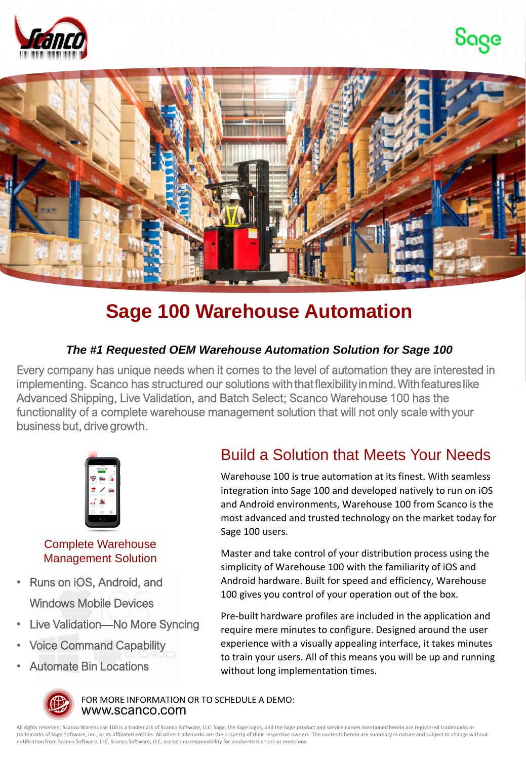





## **Sage 100 Warehouse Automation**

## *The #1 Requested OEM Warehouse Automation Solution for Sage 100*

Every company has unique needs when it comes to the level of automation they are interested in implementing. Scanco has structured our solutions with that flexibility in mind. With features like Advanced Shipping, Live Validation, and Batch Select; Scanco Warehouse 100 has the functionality of a complete warehouse management solution that will not only scale with your business but, drive growth.



Complete Warehouse Management Solution

- Runs on iOS, Android, and Windows Mobile Devices
- Live Validation—No More Syncing
- Voice Command Capability
- Automate Bin Locations

## Build a Solution that Meets Your Needs

Warehouse 100 is true automation at its finest. With seamless integration into Sage 100 and developed natively to run on iOS and Android environments, Warehouse 100 from Scanco is the most advanced and trusted technology on the market today for Sage 100 users.

Master and take control of your distribution process using the simplicity of Warehouse 100 with the familiarity of iOS and Android hardware. Built for speed and efficiency, Warehouse 100 gives you control of your operation out of the box.

Pre-built hardware profiles are included in the application and require mere minutes to configure. Designed around the user experience with a visually appealing interface, it takes minutes to train your users. All of this means you will be up and running without long implementation times.



www.scanco.com FOR MORE INFORMATION OR TO SCHEDULE A DEMO:

All rights reserved. Scanco Warehouse 100 is a trademark of Scanco Software, LLC. Sage, the Sage logos, and the Sage product and service names mentioned herein are registered trademarks or trademarks of Sage Software, Inc., or its affiliated entities. All other trademarks are the property of their respective owners. The contents herein are summary in nature and subject to change without notification from Scanco Software, LLC. Scanco Software, LLC, accepts no responsibility for inadvertent errors or omissions.